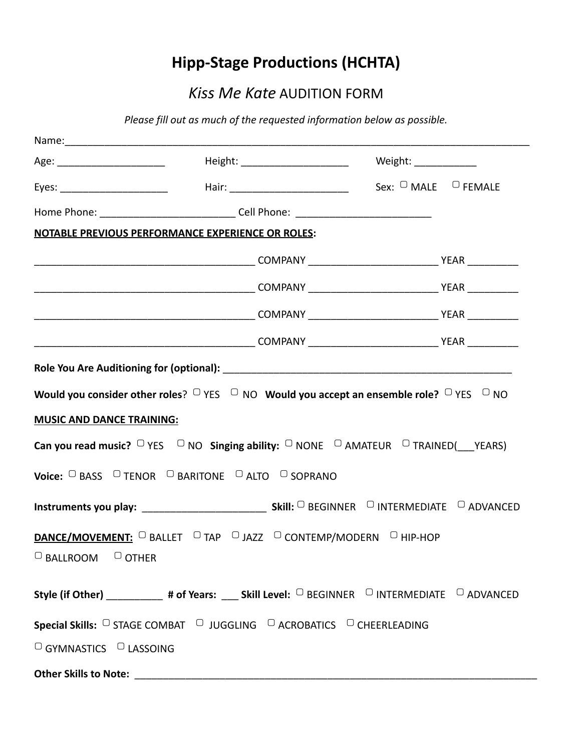## **Hipp-Stage Productions (HCHTA)**

## *Kiss Me Kate* AUDITION FORM

*Please fill out as much of the requested information below as possible.*

|                                               |                                                                                                                                                                                |  | Weight: _____________ |  |
|-----------------------------------------------|--------------------------------------------------------------------------------------------------------------------------------------------------------------------------------|--|-----------------------|--|
|                                               | Eyes: _________________________    Hair: ____________________________  Sex: <sup>O</sup> MALE <sup>O</sup> FEMALE                                                              |  |                       |  |
|                                               | Home Phone: ______________________________Cell Phone: __________________________                                                                                               |  |                       |  |
|                                               | <b>NOTABLE PREVIOUS PERFORMANCE EXPERIENCE OR ROLES:</b>                                                                                                                       |  |                       |  |
|                                               |                                                                                                                                                                                |  |                       |  |
|                                               |                                                                                                                                                                                |  |                       |  |
|                                               |                                                                                                                                                                                |  |                       |  |
|                                               |                                                                                                                                                                                |  |                       |  |
| <b>MUSIC AND DANCE TRAINING:</b>              | <b>Can you read music?</b> $\Box$ YES $\Box$ NO <b>Singing ability:</b> $\Box$ NONE $\Box$ AMATEUR $\Box$ TRAINED( YEARS)<br>Voice: C BASS C TENOR C BARITONE C ALTO C SOPRANO |  |                       |  |
|                                               |                                                                                                                                                                                |  |                       |  |
| $\Box$ BALLROOM $\Box$ OTHER                  | <b>DANCE/MOVEMENT:</b> DBALLET DTAP DJAZZ DCONTEMP/MODERN DHIP-HOP                                                                                                             |  |                       |  |
|                                               | Style (if Other) ___________ # of Years: ____ Skill Level: $\Box$ BEGINNER $\Box$ INTERMEDIATE $\Box$ ADVANCED                                                                 |  |                       |  |
|                                               | Special Skills: C STAGE COMBAT C JUGGLING C ACROBATICS C CHEERLEADING                                                                                                          |  |                       |  |
| <sup>O</sup> GYMNASTICS <sup>O</sup> LASSOING |                                                                                                                                                                                |  |                       |  |
|                                               |                                                                                                                                                                                |  |                       |  |